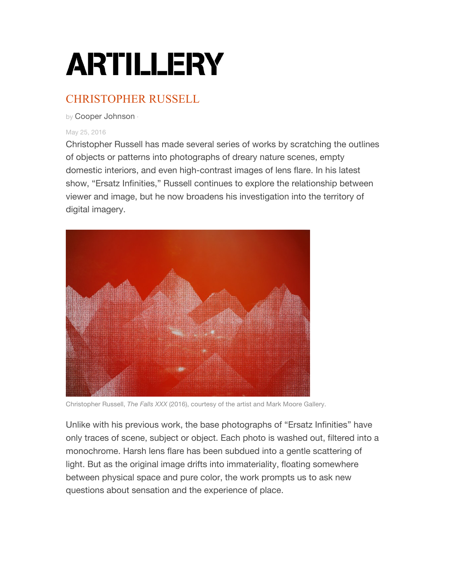## **ARTILLERY**

## CHRISTOPHER RUSSELL

by Cooper Johnson ·

## May 25, 2016

Christopher Russell has made several series of works by scratching the outlines of objects or patterns into photographs of dreary nature scenes, empty domestic interiors, and even high-contrast images of lens flare. In his latest show, "Ersatz Infinities," Russell continues to explore the relationship between viewer and image, but he now broadens his investigation into the territory of digital imagery.



Christopher Russell, *The Falls XXX* (2016), courtesy of the artist and Mark Moore Gallery.

Unlike with his previous work, the base photographs of "Ersatz Infinities" have only traces of scene, subject or object. Each photo is washed out, filtered into a monochrome. Harsh lens flare has been subdued into a gentle scattering of light. But as the original image drifts into immateriality, floating somewhere between physical space and pure color, the work prompts us to ask new questions about sensation and the experience of place.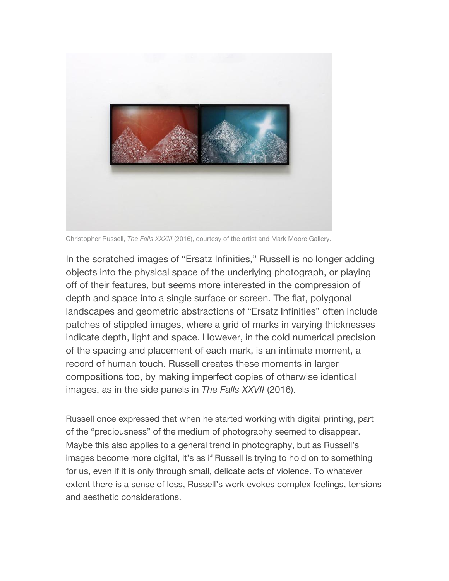

Christopher Russell, *The Falls XXXIII* (2016), courtesy of the artist and Mark Moore Gallery.

In the scratched images of "Ersatz Infinities," Russell is no longer adding objects into the physical space of the underlying photograph, or playing off of their features, but seems more interested in the compression of depth and space into a single surface or screen. The flat, polygonal landscapes and geometric abstractions of "Ersatz Infinities" often include patches of stippled images, where a grid of marks in varying thicknesses indicate depth, light and space. However, in the cold numerical precision of the spacing and placement of each mark, is an intimate moment, a record of human touch. Russell creates these moments in larger compositions too, by making imperfect copies of otherwise identical images, as in the side panels in *The Falls XXVII* (2016).

Russell once expressed that when he started working with digital printing, part of the "preciousness" of the medium of photography seemed to disappear. Maybe this also applies to a general trend in photography, but as Russell's images become more digital, it's as if Russell is trying to hold on to something for us, even if it is only through small, delicate acts of violence. To whatever extent there is a sense of loss, Russell's work evokes complex feelings, tensions and aesthetic considerations.